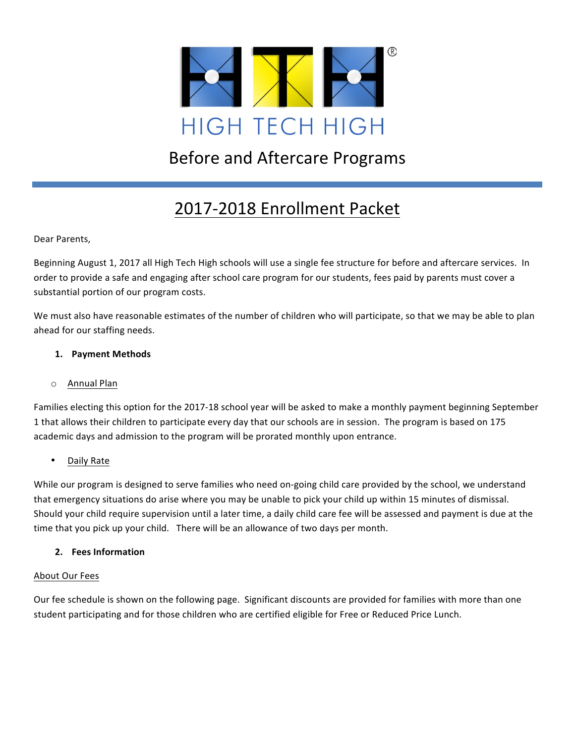

# **Before and Aftercare Programs**

# 2017-2018 Enrollment Packet

Dear Parents,

Beginning August 1, 2017 all High Tech High schools will use a single fee structure for before and aftercare services. In order to provide a safe and engaging after school care program for our students, fees paid by parents must cover a substantial portion of our program costs.

We must also have reasonable estimates of the number of children who will participate, so that we may be able to plan ahead for our staffing needs.

## **1. Payment Methods**

#### o Annual Plan

Families electing this option for the 2017-18 school year will be asked to make a monthly payment beginning September 1 that allows their children to participate every day that our schools are in session. The program is based on 175 academic days and admission to the program will be prorated monthly upon entrance.

## Daily Rate

While our program is designed to serve families who need on-going child care provided by the school, we understand that emergency situations do arise where you may be unable to pick your child up within 15 minutes of dismissal. Should your child require supervision until a later time, a daily child care fee will be assessed and payment is due at the time that you pick up your child. There will be an allowance of two days per month.

#### **2. Fees Information**

#### About Our Fees

Our fee schedule is shown on the following page. Significant discounts are provided for families with more than one student participating and for those children who are certified eligible for Free or Reduced Price Lunch.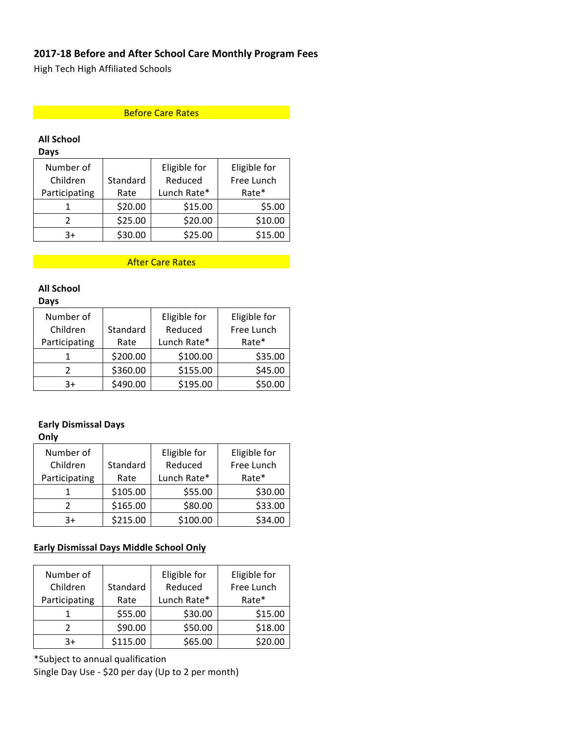# **2017-18 Before and After School Care Monthly Program Fees**

High Tech High Affiliated Schools

## Before Care Rates **Rates Rates**

# **All School**

**Days**

| Number of     |          | Eligible for | Eligible for |
|---------------|----------|--------------|--------------|
| Children      | Standard | Reduced      | Free Lunch   |
| Participating | Rate     | Lunch Rate*  | Rate*        |
|               | \$20.00  | \$15.00      | \$5.00       |
|               | \$25.00  | \$20.00      | \$10.00      |
| $3+$          | \$30.00  | \$25.00      | \$15.00      |

After Care Rates

# **All School**

#### **Days**

| Number of     |          | Eligible for | Eligible for |
|---------------|----------|--------------|--------------|
| Children      | Standard | Reduced      | Free Lunch   |
| Participating | Rate     | Lunch Rate*  | Rate*        |
|               | \$200.00 | \$100.00     | \$35.00      |
|               | \$360.00 | \$155.00     | \$45.00      |
| $3+$          | \$490.00 | \$195.00     | \$50.00      |

## **Early Dismissal Days**

#### **Only**

| Number of     |          | Eligible for | Eligible for |
|---------------|----------|--------------|--------------|
| Children      | Standard | Reduced      | Free Lunch   |
| Participating | Rate     | Lunch Rate*  | Rate*        |
|               | \$105.00 | \$55.00      | \$30.00      |
|               | \$165.00 | \$80.00      | \$33.00      |
| 3+            | \$215.00 | \$100.00     | \$34.00      |

# **Early Dismissal Days Middle School Only**

| Number of<br>Children | Standard | Eligible for<br>Reduced | Eligible for<br>Free Lunch |
|-----------------------|----------|-------------------------|----------------------------|
| Participating         | Rate     | Lunch Rate*             | Rate*                      |
|                       | \$55.00  | \$30.00                 | \$15.00                    |
|                       | \$90.00  | \$50.00                 | \$18.00                    |
| 3+                    | \$115.00 | \$65.00                 | \$20.00                    |

\*Subject to annual qualification

Single Day Use - \$20 per day (Up to 2 per month)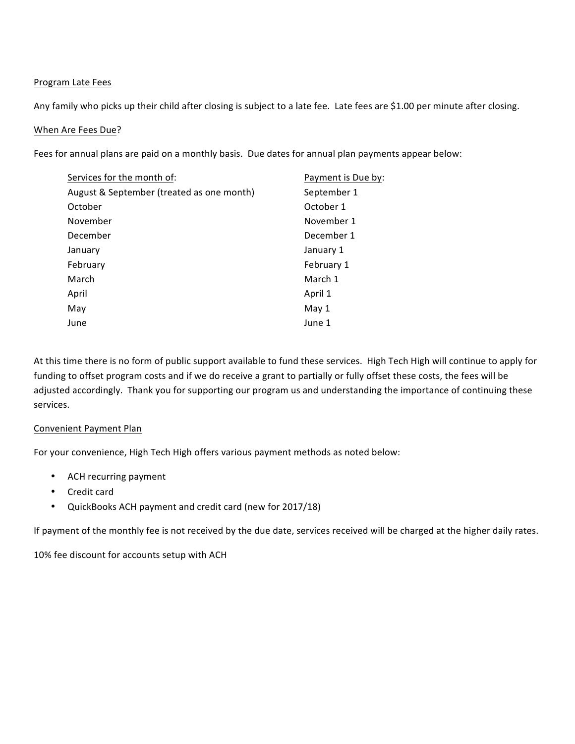#### Program Late Fees

Any family who picks up their child after closing is subject to a late fee. Late fees are \$1.00 per minute after closing.

#### When Are Fees Due?

Fees for annual plans are paid on a monthly basis. Due dates for annual plan payments appear below:

| Services for the month of:                | Payment is Due by: |
|-------------------------------------------|--------------------|
| August & September (treated as one month) | September 1        |
| October                                   | October 1          |
| November                                  | November 1         |
| December                                  | December 1         |
| January                                   | January 1          |
| February                                  | February 1         |
| March                                     | March 1            |
| April                                     | April 1            |
| May                                       | May 1              |
| June                                      | June 1             |

At this time there is no form of public support available to fund these services. High Tech High will continue to apply for funding to offset program costs and if we do receive a grant to partially or fully offset these costs, the fees will be adjusted accordingly. Thank you for supporting our program us and understanding the importance of continuing these services.

#### Convenient Payment Plan

For your convenience, High Tech High offers various payment methods as noted below:

- ACH recurring payment
- Credit card
- QuickBooks ACH payment and credit card (new for 2017/18)

If payment of the monthly fee is not received by the due date, services received will be charged at the higher daily rates.

10% fee discount for accounts setup with ACH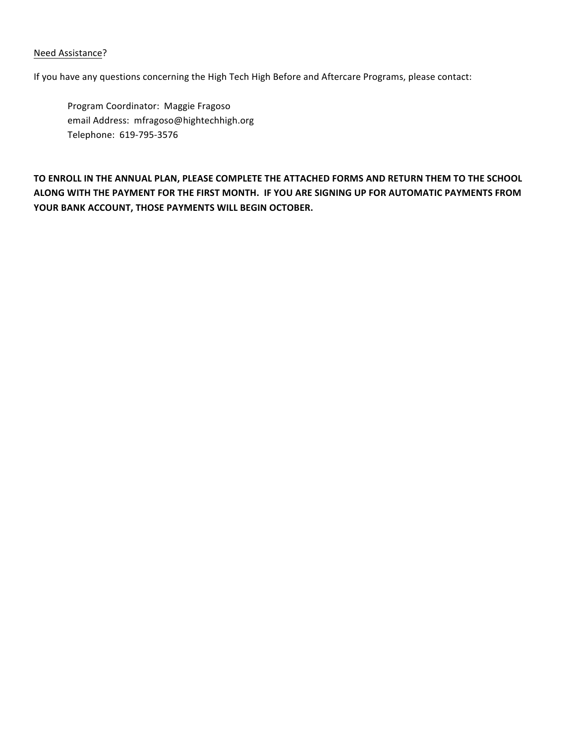#### Need Assistance?

If you have any questions concerning the High Tech High Before and Aftercare Programs, please contact:

Program Coordinator: Maggie Fragoso email Address: mfragoso@hightechhigh.org Telephone: 619-795-3576

TO ENROLL IN THE ANNUAL PLAN, PLEASE COMPLETE THE ATTACHED FORMS AND RETURN THEM TO THE SCHOOL ALONG WITH THE PAYMENT FOR THE FIRST MONTH. IF YOU ARE SIGNING UP FOR AUTOMATIC PAYMENTS FROM YOUR BANK ACCOUNT, THOSE PAYMENTS WILL BEGIN OCTOBER.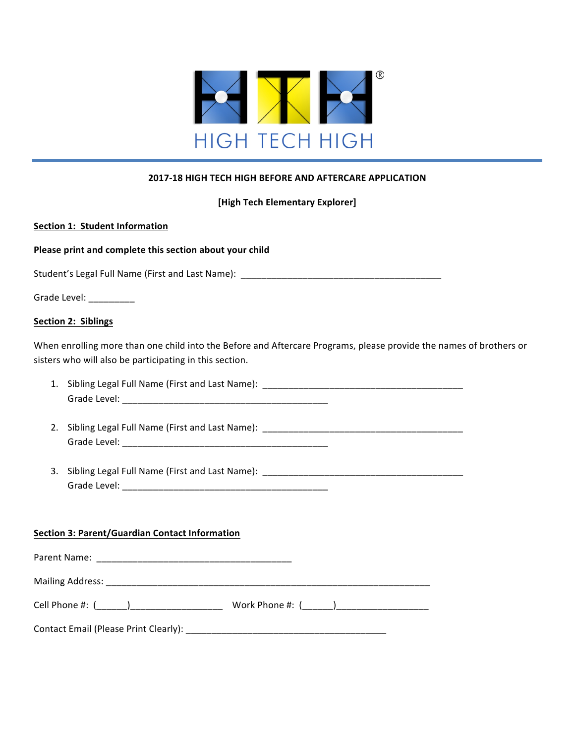

### **2017-18 HIGH TECH HIGH BEFORE AND AFTERCARE APPLICATION**

**[High Tech Elementary Explorer]**

#### **Section 1: Student Information**

Please print and complete this section about your child

Student's Legal Full Name (First and Last Name): \_\_\_\_\_\_\_\_\_\_\_\_\_\_\_\_\_\_\_\_\_\_\_\_\_\_\_\_\_\_\_

| Grade Level: |  |
|--------------|--|
|              |  |

#### **Section 2: Siblings**

When enrolling more than one child into the Before and Aftercare Programs, please provide the names of brothers or sisters who will also be participating in this section.

- 1. Sibling Legal Full Name (First and Last Name): \_\_\_\_\_\_\_\_\_\_\_\_\_\_\_\_\_\_\_\_\_\_\_\_\_\_\_\_\_\_\_ Grade Level: \_\_\_\_\_\_\_\_\_\_\_\_\_\_\_\_\_\_\_\_\_\_\_\_\_\_\_\_\_\_\_\_\_\_\_\_\_\_\_\_
- 2. Sibling Legal Full Name (First and Last Name): \_\_\_\_\_\_\_\_\_\_\_\_\_\_\_\_\_\_\_\_\_\_\_\_\_\_\_\_\_\_\_\_\_\_\_\_\_\_\_ Grade Level: \_\_\_\_\_\_\_\_\_\_\_\_\_\_\_\_\_\_\_\_\_\_\_\_\_\_\_\_\_\_\_\_\_\_\_\_\_\_\_\_
- 3. Sibling Legal Full Name (First and Last Name): \_\_\_\_\_\_\_\_\_\_\_\_\_\_\_\_\_\_\_\_\_\_\_\_\_\_\_\_\_\_ Grade Level: \_\_\_\_\_\_\_\_\_\_\_\_\_\_\_\_\_\_\_\_\_\_\_\_\_\_\_\_\_\_\_\_\_\_\_\_\_\_\_\_

#### **Section 3: Parent/Guardian Contact Information**

| Parent Name:                          |                   |
|---------------------------------------|-------------------|
|                                       |                   |
|                                       | Work Phone #: ( ) |
| Contact Email (Please Print Clearly): |                   |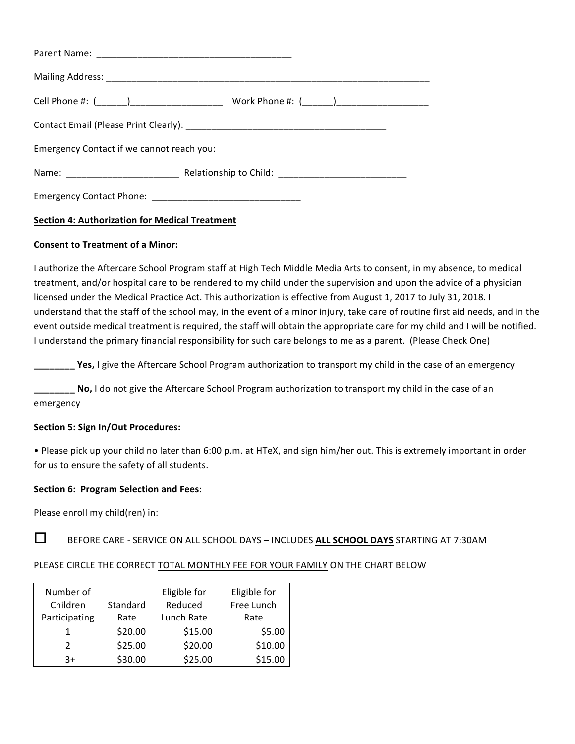| Emergency Contact if we cannot reach you: |  |
|-------------------------------------------|--|
|                                           |  |
|                                           |  |

## **Section 4: Authorization for Medical Treatment**

#### **Consent to Treatment of a Minor:**

I authorize the Aftercare School Program staff at High Tech Middle Media Arts to consent, in my absence, to medical treatment, and/or hospital care to be rendered to my child under the supervision and upon the advice of a physician licensed under the Medical Practice Act. This authorization is effective from August 1, 2017 to July 31, 2018. I understand that the staff of the school may, in the event of a minor injury, take care of routine first aid needs, and in the event outside medical treatment is required, the staff will obtain the appropriate care for my child and I will be notified. I understand the primary financial responsibility for such care belongs to me as a parent. (Please Check One)

**\_\_\_\_\_\_ Yes,** I give the Aftercare School Program authorization to transport my child in the case of an emergency

**No,** I do not give the Aftercare School Program authorization to transport my child in the case of an emergency

#### **Section 5: Sign In/Out Procedures:**

• Please pick up your child no later than 6:00 p.m. at HTeX, and sign him/her out. This is extremely important in order for us to ensure the safety of all students.

#### **Section 6: Program Selection and Fees:**

Please enroll my child(ren) in:

**O** BEFORE CARE - SERVICE ON ALL SCHOOL DAYS – INCLUDES ALL SCHOOL DAYS STARTING AT 7:30AM

#### PLEASE CIRCLE THE CORRECT TOTAL MONTHLY FEE FOR YOUR FAMILY ON THE CHART BELOW

| Number of<br>Children | Standard | Eligible for<br>Reduced | Eligible for<br>Free Lunch |
|-----------------------|----------|-------------------------|----------------------------|
| Participating         | Rate     | Lunch Rate              | Rate                       |
|                       | \$20.00  | \$15.00                 | \$5.00                     |
|                       | \$25.00  | \$20.00                 | \$10.00                    |
| $3+$                  | \$30.00  | \$25.00                 | \$15.00                    |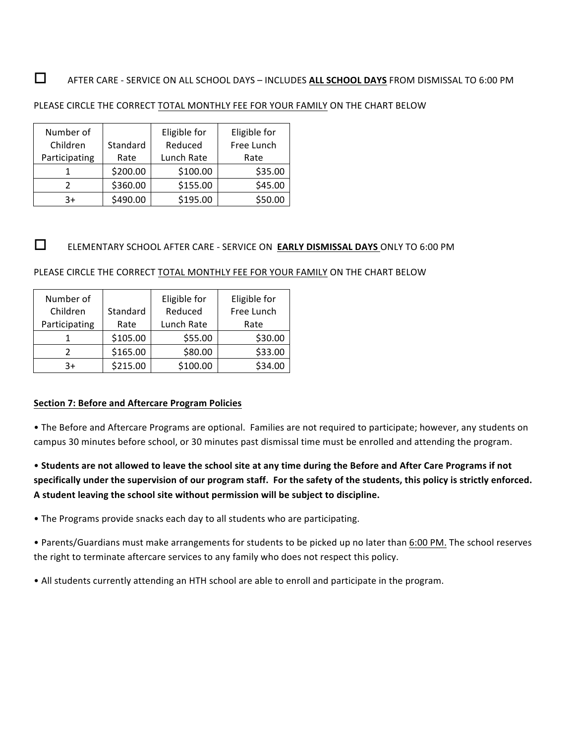# **O** AFTER CARE - SERVICE ON ALL SCHOOL DAYS – INCLUDES ALL SCHOOL DAYS FROM DISMISSAL TO 6:00 PM

#### PLEASE CIRCLE THE CORRECT TOTAL MONTHLY FEE FOR YOUR FAMILY ON THE CHART BELOW

| Number of     |          | Eligible for | Eligible for |
|---------------|----------|--------------|--------------|
| Children      | Standard | Reduced      | Free Lunch   |
| Participating | Rate     | Lunch Rate   | Rate         |
|               | \$200.00 | \$100.00     | \$35.00      |
| 2             | \$360.00 | \$155.00     | \$45.00      |
| 3+            | \$490.00 | \$195.00     | \$50.00      |

# **O** ELEMENTARY SCHOOL AFTER CARE - SERVICE ON **EARLY DISMISSAL DAYS** ONLY TO 6:00 PM

PLEASE CIRCLE THE CORRECT TOTAL MONTHLY FEE FOR YOUR FAMILY ON THE CHART BELOW

| Number of     |          | Eligible for<br>Reduced | Eligible for |
|---------------|----------|-------------------------|--------------|
| Children      | Standard |                         | Free Lunch   |
| Participating | Rate     | Lunch Rate              | Rate         |
|               | \$105.00 | \$55.00                 | \$30.00      |
|               | \$165.00 | \$80.00                 | \$33.00      |
| $3+$          | \$215.00 | \$100.00                | \$34.00      |

### **Section 7: Before and Aftercare Program Policies**

• The Before and Aftercare Programs are optional. Families are not required to participate; however, any students on campus 30 minutes before school, or 30 minutes past dismissal time must be enrolled and attending the program.

• Students are not allowed to leave the school site at any time during the Before and After Care Programs if not specifically under the supervision of our program staff. For the safety of the students, this policy is strictly enforced. A student leaving the school site without permission will be subject to discipline.

• The Programs provide snacks each day to all students who are participating.

• Parents/Guardians must make arrangements for students to be picked up no later than 6:00 PM. The school reserves the right to terminate aftercare services to any family who does not respect this policy.

• All students currently attending an HTH school are able to enroll and participate in the program.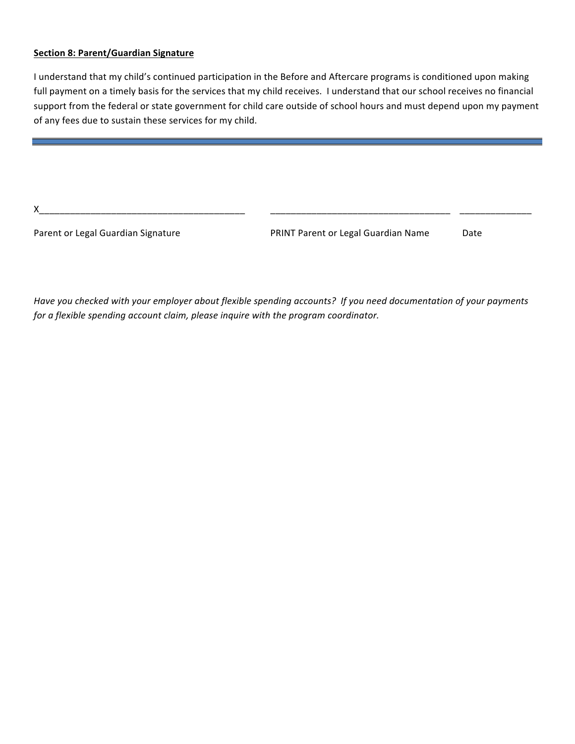#### **Section 8: Parent/Guardian Signature**

I understand that my child's continued participation in the Before and Aftercare programs is conditioned upon making full payment on a timely basis for the services that my child receives. I understand that our school receives no financial support from the federal or state government for child care outside of school hours and must depend upon my payment of any fees due to sustain these services for my child.

X\_\_\_\_\_\_\_\_\_\_\_\_\_\_\_\_\_\_\_\_\_\_\_\_\_\_\_\_\_\_\_\_\_\_\_\_\_\_\_\_ \_\_\_\_\_\_\_\_\_\_\_\_\_\_\_\_\_\_\_\_\_\_\_\_\_\_\_\_\_\_\_\_\_\_\_ \_\_\_\_\_\_\_\_\_\_\_\_\_\_

Parent or Legal Guardian Signature **PRINT Parent or Legal Guardian Name** Date

Have you checked with your employer about flexible spending accounts? If you need documentation of your payments for a flexible spending account claim, please inquire with the program coordinator.